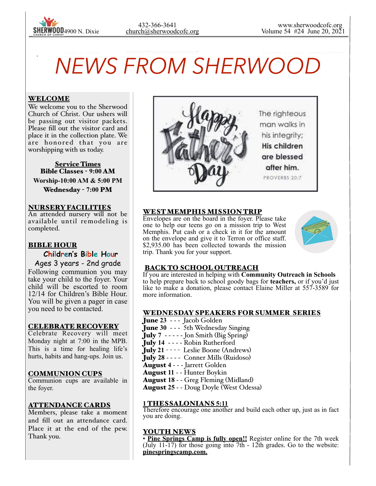

# *NEWS FROM SHERWOOD*

## WELCOME

 $\overline{\phantom{a}}$ 

We welcome you to the Sherwood Church of Christ. Our ushers will be passing out visitor packets. Please fill out the visitor card and place it in the collection plate. We are honored that you are worshipping with us today.

**Service Times** Bible Classes - **9:00** AM **Worship-10:00 AM & 5:00 PM** 

Wednesday - **7:00** PM

#### NURSERY FACILITIES

An attended nursery will not be available until remodeling is completed.

## BIBLE HOUR

**Children's Bible Hour**

Ages 3 years - 2nd grade Following communion you may

take your child to the foyer. Your child will be escorted to room 12/14 for Children's Bible Hour. You will be given a pager in case you need to be contacted.

#### CELEBRATE RECOVERY

Celebrate Recovery will meet Monday night at 7:00 in the MPB. This is a time for healing life's hurts, habits and hang-ups. Join us.

#### COMMUNION CUPS

Communion cups are available in the foyer.

## ATTENDANCE CARDS

Members, please take a moment and fill out an attendance card. Place it at the end of the pew. Thank you.



## WEST MEMPHIS MISSION TRIP

Envelopes are on the board in the foyer. Please take one to help our teens go on a mission trip to West Memphis. Put cash or a check in it for the amount on the envelope and give it to Terron or office staff. \$2,935.00 has been collected towards the mission trip. Thank you for your support.



## BACK TO SCHOOL OUTREACH

If you are interested in helping with **Community Outreach in Schools**  to help prepare back to school goody bags for **teachers,** or if you'd just like to make a donation, please contact Elaine Miller at 557-3589 for more information.

## WEDNESDAY SPEAKERS FOR SUMMER SERIES

- June **23**  - Jacob Golden
- June **30**  - 5th Wednesday Singing
- July **7**  - - Jon Smith (Big Spring)
- July **14** - - Robin Rutherford
- July 21 ---- Leslie Boone (Andrews)
- July **28** - - Conner Mills (Ruidoso)
- August **4** - Jarrett Golden
- August **11** - Hunter Boykin
- August **18** - Greg Fleming (Midland)
- August **25**  - Doug Doyle (West Odessa)

#### **1** THESSALONIANS **5:11**

Therefore encourage one another and build each other up, just as in fact you are doing.

#### YOUTH NEWS

• **Pine Springs Camp is fully open!!** Register online for the 7th week (July 11-17) for those going into 7th - 12th grades. Go to the website: **pinespringscamp.com.**